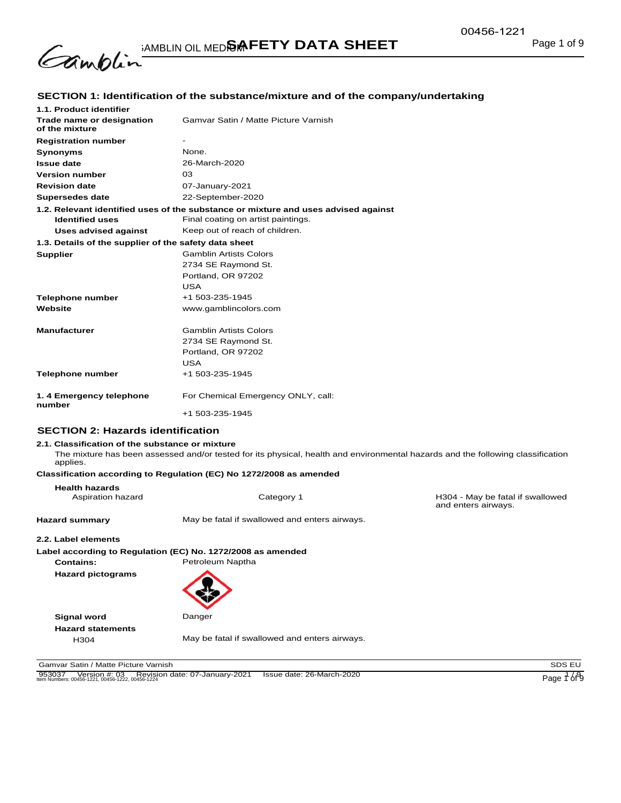

# **SECTION 1: Identification of the substance/mixture and of the company/undertaking**

| 1.1. Product identifier                               |                                                                                    |  |
|-------------------------------------------------------|------------------------------------------------------------------------------------|--|
| Trade name or designation<br>of the mixture           | Gamvar Satin / Matte Picture Varnish                                               |  |
| <b>Registration number</b>                            |                                                                                    |  |
| <b>Synonyms</b>                                       | <b>None</b>                                                                        |  |
| <b>Issue date</b>                                     | 26-March-2020                                                                      |  |
| <b>Version number</b>                                 | 03                                                                                 |  |
| <b>Revision date</b>                                  | 07-January-2021                                                                    |  |
| Supersedes date                                       | 22-September-2020                                                                  |  |
|                                                       | 1.2. Relevant identified uses of the substance or mixture and uses advised against |  |
| <b>Identified uses</b>                                | Final coating on artist paintings.                                                 |  |
| Uses advised against                                  | Keep out of reach of children.                                                     |  |
| 1.3. Details of the supplier of the safety data sheet |                                                                                    |  |
| <b>Supplier</b>                                       | <b>Gamblin Artists Colors</b>                                                      |  |
|                                                       | 2734 SE Raymond St.                                                                |  |
|                                                       | Portland, OR 97202                                                                 |  |
|                                                       | <b>USA</b>                                                                         |  |
| <b>Telephone number</b>                               | +1 503-235-1945                                                                    |  |
| Website                                               | www.gamblincolors.com                                                              |  |
|                                                       |                                                                                    |  |
| <b>Manufacturer</b>                                   | <b>Gamblin Artists Colors</b>                                                      |  |
|                                                       | 2734 SE Raymond St.                                                                |  |
|                                                       | Portland, OR 97202                                                                 |  |
|                                                       | <b>USA</b>                                                                         |  |
| <b>Telephone number</b>                               | +1 503-235-1945                                                                    |  |
| 1.4 Emergency telephone                               | For Chemical Emergency ONLY, call:                                                 |  |
| number                                                | +1 503-235-1945                                                                    |  |
|                                                       |                                                                                    |  |

### **SECTION 2: Hazards identification**

### **2.1. Classification of the substance or mixture**

The mixture has been assessed and/or tested for its physical, health and environmental hazards and the following classification applies.

# **Classification according to Regulation (EC) No 1272/2008 as amended**

| <b>Health hazards</b><br>Aspiration hazard | Category 1                                                  | H304 - May be fatal if swallowed<br>and enters airways. |
|--------------------------------------------|-------------------------------------------------------------|---------------------------------------------------------|
| <b>Hazard summary</b>                      | May be fatal if swallowed and enters airways.               |                                                         |
| 2.2. Label elements                        |                                                             |                                                         |
|                                            | Label according to Regulation (EC) No. 1272/2008 as amended |                                                         |
| Contains:                                  | Petroleum Naptha                                            |                                                         |
| <b>Hazard pictograms</b>                   |                                                             |                                                         |
| <b>Signal word</b>                         | Danger                                                      |                                                         |
| <b>Hazard statements</b>                   |                                                             |                                                         |
| H <sub>304</sub>                           | May be fatal if swallowed and enters airways.               |                                                         |

Gamvar Satin / Matte Picture Varnish SDS EU

953037 Version #: 03 Revision date: 07-January-2021 Issue date: 26-March-2020<br>Item Numbers: 00456-1221, 00456-1222, 00456-1224 Page 1 of 9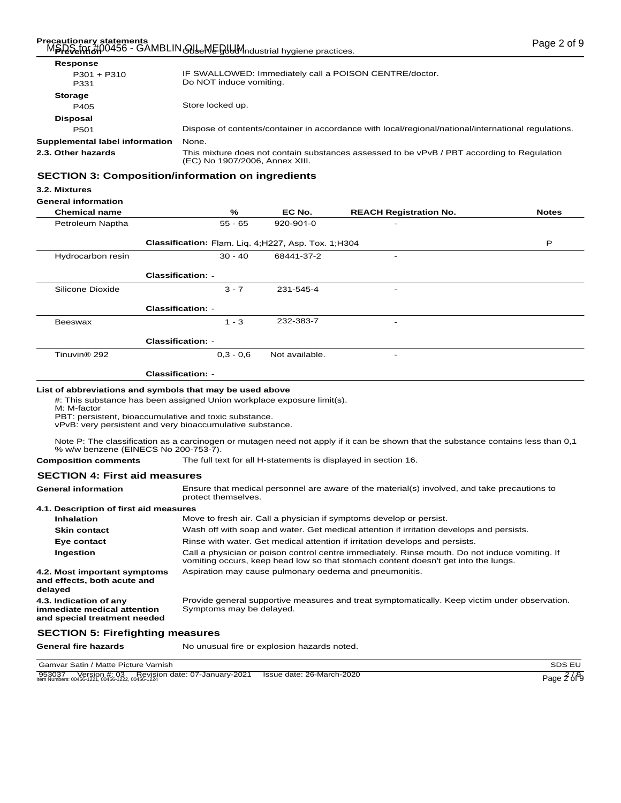### Precautionary statements<br>MSDS for #00456 - GAMBLIN OIL MEDIUM ndustrial hygiene practices. **Prevention** Odso - GAMBLIN AllseWE good industrial hygiene practices.

| Response                       |                                                                                                                              |
|--------------------------------|------------------------------------------------------------------------------------------------------------------------------|
| $P301 + P310$<br>P331          | IF SWALLOWED: Immediately call a POISON CENTRE/doctor.<br>Do NOT induce vomiting.                                            |
| <b>Storage</b>                 |                                                                                                                              |
| P405                           | Store locked up.                                                                                                             |
| <b>Disposal</b>                |                                                                                                                              |
| P <sub>501</sub>               | Dispose of contents/container in accordance with local/regional/national/international regulations.                          |
| Supplemental label information | None.                                                                                                                        |
| 2.3. Other hazards             | This mixture does not contain substances assessed to be vPvB / PBT according to Regulation<br>(EC) No 1907/2006, Annex XIII. |
|                                |                                                                                                                              |

# **SECTION 3: Composition/information on ingredients**

### **3.2. Mixtures**

# **General information**

| <b>Chemical name</b>     | %                                                   | EC No.         | <b>REACH Registration No.</b> | <b>Notes</b> |
|--------------------------|-----------------------------------------------------|----------------|-------------------------------|--------------|
| Petroleum Naptha         | $55 - 65$                                           | 920-901-0      | $\overline{\phantom{0}}$      |              |
|                          | Classification: Flam. Lig. 4;H227, Asp. Tox. 1;H304 |                |                               | P            |
| Hydrocarbon resin        | $30 - 40$                                           | 68441-37-2     | $\overline{\phantom{0}}$      |              |
|                          | Classification: -                                   |                |                               |              |
| Silicone Dioxide         | $3 - 7$                                             | 231-545-4      | -                             |              |
|                          | <b>Classification: -</b>                            |                |                               |              |
| Beeswax                  | $1 - 3$                                             | 232-383-7      | -                             |              |
|                          | <b>Classification: -</b>                            |                |                               |              |
| Tinuvin <sup>®</sup> 292 | $0.3 - 0.6$                                         | Not available. | -                             |              |
|                          | <b>Classification: -</b>                            |                |                               |              |
|                          |                                                     |                |                               |              |

### **List of abbreviations and symbols that may be used above**

#: This substance has been assigned Union workplace exposure limit(s).

M: M-factor

PBT: persistent, bioaccumulative and toxic substance.

vPvB: very persistent and very bioaccumulative substance.

Note P: The classification as a carcinogen or mutagen need not apply if it can be shown that the substance contains less than 0,1 % w/w benzene (EINECS No 200-753-7).

## **Composition comments** The full text for all H-statements is displayed in section 16.

# **SECTION 4: First aid measures**

| <b>General information</b>                                                            | Ensure that medical personnel are aware of the material(s) involved, and take precautions to<br>protect themselves.                                                                  |
|---------------------------------------------------------------------------------------|--------------------------------------------------------------------------------------------------------------------------------------------------------------------------------------|
| 4.1. Description of first aid measures                                                |                                                                                                                                                                                      |
| <b>Inhalation</b>                                                                     | Move to fresh air. Call a physician if symptoms develop or persist.                                                                                                                  |
| <b>Skin contact</b>                                                                   | Wash off with soap and water. Get medical attention if irritation develops and persists.                                                                                             |
| Eye contact                                                                           | Rinse with water. Get medical attention if irritation develops and persists.                                                                                                         |
| Ingestion                                                                             | Call a physician or poison control centre immediately. Rinse mouth. Do not induce vomiting. If<br>vomiting occurs, keep head low so that stomach content doesn't get into the lungs. |
| 4.2. Most important symptoms<br>and effects, both acute and<br>delayed                | Aspiration may cause pulmonary oedema and pneumonitis.                                                                                                                               |
| 4.3. Indication of any<br>immediate medical attention<br>and special treatment needed | Provide general supportive measures and treat symptomatically. Keep victim under observation.<br>Symptoms may be delayed.                                                            |
| <b>SECTION 5: Firefighting measures</b>                                               |                                                                                                                                                                                      |

General fire hazards **No unusual fire or explosion hazards noted.** 

Gamvar Satin / Matte Picture Varnish SDS EU

```
953037 Version #: 03 Revision date: 07-January-2021 Issue date: 26-March-2020<br>Item Numbers: 00456-1221, 00456-1222, 00456-1224 Page 2 of 9
```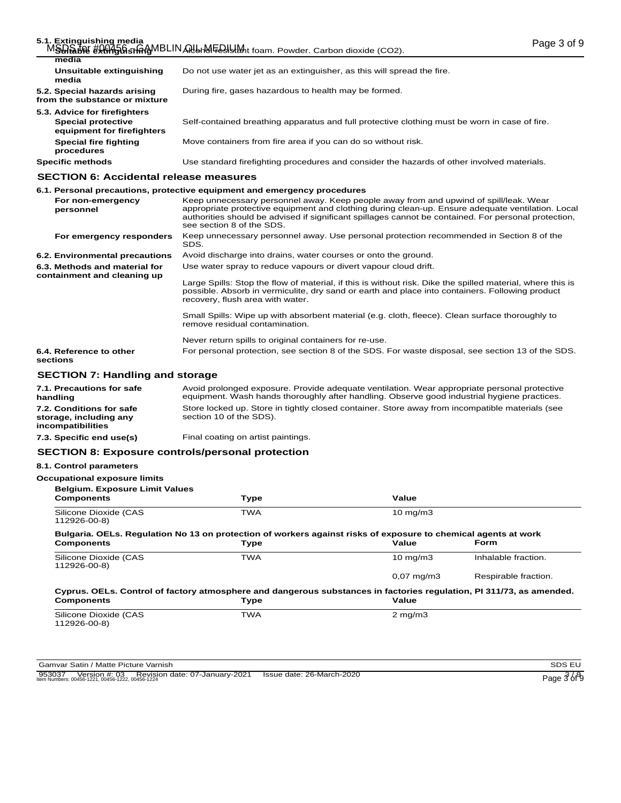| 5.1. Extinguishing media                                      | MSHLAN # ANT SOSTITION BLIN AND MEAN MAIL foam. Powder. Carbon dioxide (CO2).                                                                                                              | Page 3 of 9 |
|---------------------------------------------------------------|--------------------------------------------------------------------------------------------------------------------------------------------------------------------------------------------|-------------|
| media                                                         |                                                                                                                                                                                            |             |
| Unsuitable extinguishing<br>media                             | Do not use water jet as an extinguisher, as this will spread the fire.                                                                                                                     |             |
| 5.2. Special hazards arising<br>from the substance or mixture | During fire, gases hazardous to health may be formed.                                                                                                                                      |             |
| 5.3. Advice for firefighters                                  |                                                                                                                                                                                            |             |
| <b>Special protective</b><br>equipment for firefighters       | Self-contained breathing apparatus and full protective clothing must be worn in case of fire.                                                                                              |             |
| Special fire fighting<br>procedures                           | Move containers from fire area if you can do so without risk.                                                                                                                              |             |
| <b>Specific methods</b>                                       | Use standard firefighting procedures and consider the hazards of other involved materials.                                                                                                 |             |
| <b>SECTION 6: Accidental release measures</b>                 |                                                                                                                                                                                            |             |
|                                                               | 6.1. Personal precautions, protective equipment and emergency procedures                                                                                                                   |             |
| For non-emergency<br>naraannal                                | Keep unnecessary personnel away. Keep people away from and upwind of spill/leak. Wear<br>annropriate protective equipment and clothing during clear-up. Ensure adequate ventilation I ocal |             |

| For non-emergency<br>personnel                               | Keep unnecessary personnel away. Keep people away from and upwind of spill/leak. Wear<br>appropriate protective equipment and clothing during clean-up. Ensure adequate ventilation. Local<br>authorities should be advised if significant spillages cannot be contained. For personal protection,<br>see section 8 of the SDS. |
|--------------------------------------------------------------|---------------------------------------------------------------------------------------------------------------------------------------------------------------------------------------------------------------------------------------------------------------------------------------------------------------------------------|
| For emergency responders                                     | Keep unnecessary personnel away. Use personal protection recommended in Section 8 of the<br>SDS.                                                                                                                                                                                                                                |
| 6.2. Environmental precautions                               | Avoid discharge into drains, water courses or onto the ground.                                                                                                                                                                                                                                                                  |
| 6.3. Methods and material for<br>containment and cleaning up | Use water spray to reduce vapours or divert vapour cloud drift.                                                                                                                                                                                                                                                                 |
|                                                              | Large Spills: Stop the flow of material, if this is without risk. Dike the spilled material, where this is<br>possible. Absorb in vermiculite, dry sand or earth and place into containers. Following product<br>recovery, flush area with water.                                                                               |
|                                                              | Small Spills: Wipe up with absorbent material (e.g. cloth, fleece). Clean surface thoroughly to<br>remove residual contamination.                                                                                                                                                                                               |
|                                                              | Never return spills to original containers for re-use.                                                                                                                                                                                                                                                                          |
| 6.4. Reference to other<br>sections                          | For personal protection, see section 8 of the SDS. For waste disposal, see section 13 of the SDS.                                                                                                                                                                                                                               |
| <b>SECTION 7: Handling and storage</b>                       |                                                                                                                                                                                                                                                                                                                                 |
| 71 <b>Drogautions for safe</b>                               | Avoid prolonged experience Provide adoptate ventilation Wear appropriate personal protective                                                                                                                                                                                                                                    |

#### Avoid prolonged exposure. Provide adequate ventilation. Wear appropriate personal protective equipment. Wash hands thoroughly after handling. Observe good industrial hygiene practices. **7.1. Precautions for safe handling** Store locked up. Store in tightly closed container. Store away from incompatible materials (see section 10 of the SDS). **7.2. Conditions for safe storage, including any incompatibilities 7.3. Specific end use(s)** Final coating on artist paintings.

# **SECTION 8: Exposure controls/personal protection**

# **8.1. Control parameters**

| <b>Components</b>                                                                                                                         | <b>Type</b> | Value                 |                      |
|-------------------------------------------------------------------------------------------------------------------------------------------|-------------|-----------------------|----------------------|
| Silicone Dioxide (CAS<br>112926-00-8)                                                                                                     | <b>TWA</b>  | $10 \text{ mg/m}$     |                      |
| Bulgaria. OELs. Regulation No 13 on protection of workers against risks of exposure to chemical agents at work<br><b>Components</b>       | Type        | Value                 | <b>Form</b>          |
| Silicone Dioxide (CAS<br>112926-00-8)                                                                                                     | <b>TWA</b>  | $10 \text{ mg/m}$     | Inhalable fraction.  |
|                                                                                                                                           |             | $0.07 \text{ mg/m}$ 3 | Respirable fraction. |
| Cyprus. OELs. Control of factory atmosphere and dangerous substances in factories regulation, PI 311/73, as amended.<br><b>Components</b> | <b>Type</b> | Value                 |                      |
| Silicone Dioxide (CAS<br>112926-00-8)                                                                                                     | <b>TWA</b>  | $2 \text{ mg/m}$      |                      |

953037 Version #: 03 Revision date: 07-January-2021 Issue date: 26-March-2020<br>
Item Numbers: 00456-1221, 00456-1222, 00456-1224 Page 3 of 9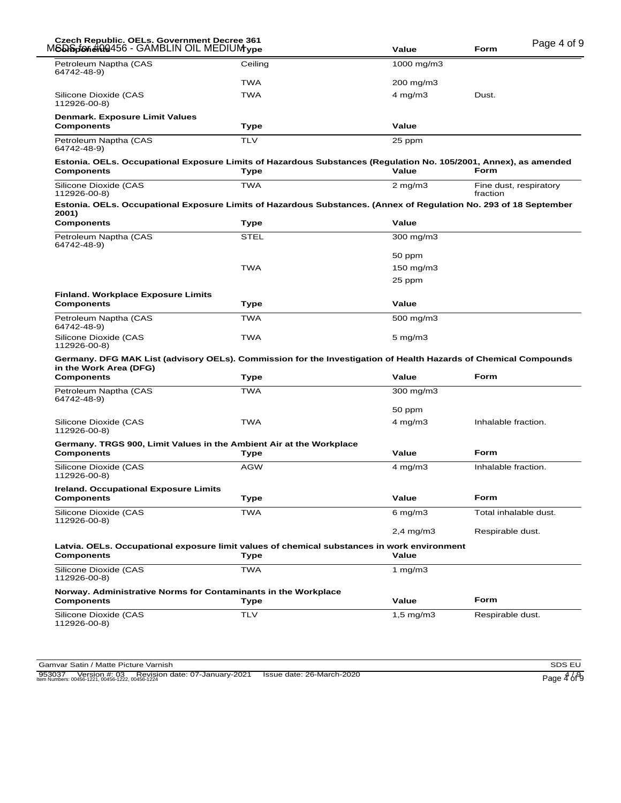| Czech Republic. OELs. Government Decree 361<br>M <b>SD Splon#00</b> 456 - GAMBLIN OIL MEDIUM <sub>VDe</sub> |                                                                                                                          | Value              | Page 4 of 9<br>Form                |
|-------------------------------------------------------------------------------------------------------------|--------------------------------------------------------------------------------------------------------------------------|--------------------|------------------------------------|
| Petroleum Naptha (CAS<br>64742-48-9)                                                                        | Ceiling                                                                                                                  | 1000 mg/m3         |                                    |
|                                                                                                             | <b>TWA</b>                                                                                                               | 200 mg/m3          |                                    |
| Silicone Dioxide (CAS<br>112926-00-8)                                                                       | TWA                                                                                                                      | $4$ mg/m $3$       | Dust.                              |
| <b>Denmark. Exposure Limit Values</b><br><b>Components</b>                                                  | Type                                                                                                                     | Value              |                                    |
| Petroleum Naptha (CAS<br>64742-48-9)                                                                        | <b>TLV</b>                                                                                                               | 25 ppm             |                                    |
| <b>Components</b>                                                                                           | Estonia. OELs. Occupational Exposure Limits of Hazardous Substances (Regulation No. 105/2001, Annex), as amended<br>Type | Value              | Form                               |
| Silicone Dioxide (CAS<br>112926-00-8)                                                                       | <b>TWA</b>                                                                                                               | $2$ mg/m $3$       | Fine dust, respiratory<br>fraction |
| 2001)                                                                                                       | Estonia. OELs. Occupational Exposure Limits of Hazardous Substances. (Annex of Regulation No. 293 of 18 September        |                    |                                    |
| <b>Components</b>                                                                                           | Type                                                                                                                     | Value              |                                    |
| Petroleum Naptha (CAS<br>64742-48-9)                                                                        | <b>STEL</b>                                                                                                              | 300 mg/m3          |                                    |
|                                                                                                             |                                                                                                                          | 50 ppm             |                                    |
|                                                                                                             | <b>TWA</b>                                                                                                               | $150$ mg/m $3$     |                                    |
|                                                                                                             |                                                                                                                          | 25 ppm             |                                    |
| <b>Finland. Workplace Exposure Limits</b><br><b>Components</b>                                              | Type                                                                                                                     | Value              |                                    |
| Petroleum Naptha (CAS<br>64742-48-9)                                                                        | <b>TWA</b>                                                                                                               | 500 mg/m3          |                                    |
| Silicone Dioxide (CAS<br>112926-00-8)                                                                       | TWA                                                                                                                      | $5$ mg/m $3$       |                                    |
|                                                                                                             | Germany. DFG MAK List (advisory OELs). Commission for the Investigation of Health Hazards of Chemical Compounds          |                    |                                    |
| in the Work Area (DFG)<br><b>Components</b>                                                                 | Type                                                                                                                     | Value              | Form                               |
| Petroleum Naptha (CAS<br>64742-48-9)                                                                        | <b>TWA</b>                                                                                                               | 300 mg/m3          |                                    |
|                                                                                                             |                                                                                                                          | 50 ppm             |                                    |
| Silicone Dioxide (CAS<br>112926-00-8)                                                                       | <b>TWA</b>                                                                                                               | $4 \text{ mg/m}$ 3 | Inhalable fraction.                |
| <b>Components</b>                                                                                           | Germany. TRGS 900, Limit Values in the Ambient Air at the Workplace<br>Type                                              | Value              | Form                               |
| Silicone Dioxide (CAS<br>112926-00-8)                                                                       | <b>AGW</b>                                                                                                               | $4$ mg/m $3$       | Inhalable fraction.                |
| <b>Ireland. Occupational Exposure Limits</b><br><b>Components</b>                                           | Type                                                                                                                     | Value              | Form                               |
| Silicone Dioxide (CAS                                                                                       | <b>TWA</b>                                                                                                               | 6 mg/m $3$         | Total inhalable dust.              |
| 112926-00-8)                                                                                                |                                                                                                                          | $2,4$ mg/m $3$     | Respirable dust.                   |
| <b>Components</b>                                                                                           | Latvia. OELs. Occupational exposure limit values of chemical substances in work environment<br>Type                      | Value              |                                    |
| Silicone Dioxide (CAS<br>112926-00-8)                                                                       | TWA                                                                                                                      | 1 $mq/m3$          |                                    |
|                                                                                                             | Norway. Administrative Norms for Contaminants in the Workplace                                                           |                    |                                    |
| <b>Components</b>                                                                                           | Type                                                                                                                     | Value              | Form                               |
|                                                                                                             | <b>TLV</b>                                                                                                               | 1,5 mg/m3          | Respirable dust.                   |

953037 Version #: 03 Revision date: 07-January-2021 Issue date: 26-March-2020<br>Item Numbers: 00456-1221, 00456-1222, 00456-1224 Page 4 of 9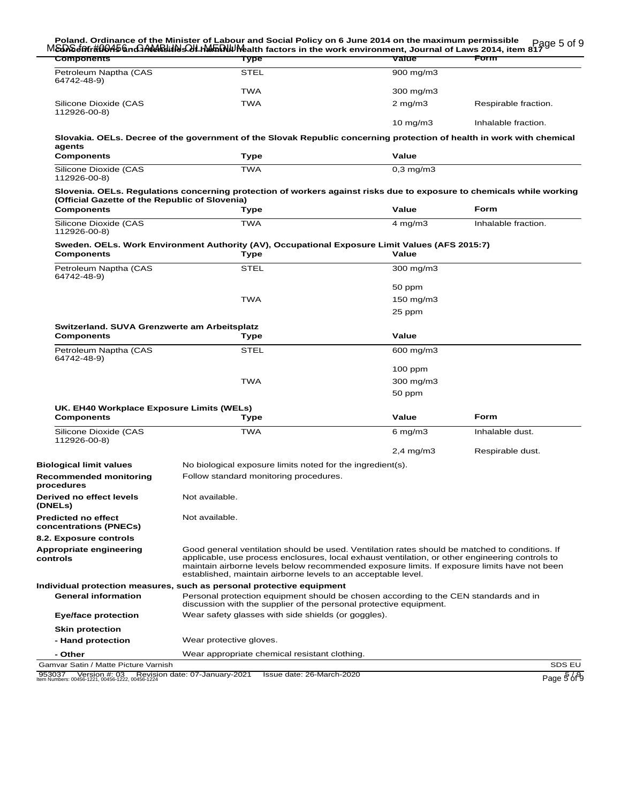| Petroleum Naptha (CAS<br><b>STEL</b><br>900 mg/m3<br>64742-48-9)<br>TWA<br>300 mg/m3<br><b>TWA</b><br>Silicone Dioxide (CAS<br>$2$ mg/m $3$<br>Respirable fraction.<br>112926-00-8)<br>$10 \text{ mg/m}$<br>Inhalable fraction.<br>Slovakia. OELs. Decree of the government of the Slovak Republic concerning protection of health in work with chemical<br>agents<br><b>Components</b><br>Value<br>Type<br><b>TWA</b><br>Silicone Dioxide (CAS<br>$0,3$ mg/m $3$<br>112926-00-8)<br>Slovenia. OELs. Regulations concerning protection of workers against risks due to exposure to chemicals while working<br>(Official Gazette of the Republic of Slovenia)<br><b>Form</b><br><b>Components</b><br>Value<br>Type<br>Silicone Dioxide (CAS<br><b>TWA</b><br>$4$ mg/m $3$<br>Inhalable fraction.<br>112926-00-8)<br>Sweden. OELs. Work Environment Authority (AV), Occupational Exposure Limit Values (AFS 2015:7)<br><b>Components</b><br>Value<br>Type<br><b>STEL</b><br>Petroleum Naptha (CAS<br>300 mg/m3<br>64742-48-9)<br>50 ppm<br><b>TWA</b><br>$150$ mg/m $3$<br>25 ppm<br>Switzerland. SUVA Grenzwerte am Arbeitsplatz<br><b>Components</b><br>Value<br>Type<br>Petroleum Naptha (CAS<br><b>STEL</b><br>600 mg/m3<br>64742-48-9)<br>$100$ ppm<br>TWA<br>300 mg/m3<br>50 ppm<br>UK. EH40 Workplace Exposure Limits (WELs)<br>Value<br><b>Form</b><br><b>Components</b><br>Type<br>Silicone Dioxide (CAS<br><b>TWA</b><br>6 mg/m $3$<br>Inhalable dust.<br>112926-00-8)<br>$2,4$ mg/m $3$<br>Respirable dust.<br>No biological exposure limits noted for the ingredient(s).<br><b>Biological limit values</b><br>Follow standard monitoring procedures.<br>Not available.<br>Not available.<br>8.2. Exposure controls<br>Good general ventilation should be used. Ventilation rates should be matched to conditions. If<br>applicable, use process enclosures, local exhaust ventilation, or other engineering controls to<br>maintain airborne levels below recommended exposure limits. If exposure limits have not been<br>established, maintain airborne levels to an acceptable level.<br>Individual protection measures, such as personal protective equipment<br><b>General information</b><br>Personal protection equipment should be chosen according to the CEN standards and in<br>discussion with the supplier of the personal protective equipment.<br>Wear safety glasses with side shields (or goggles).<br><b>Eye/face protection</b><br><b>Skin protection</b><br>Wear protective gloves.<br>- Hand protection<br>Wear appropriate chemical resistant clothing.<br>- Other<br>Gamvar Satin / Matte Picture Varnish | <b>Components</b>                           | MSDSdatr#00456nd3ANMBillNsQULHMEDIUMealth factors in the work environment, Journal of Laws 2014, item 81796 5 of 9<br>Type | Value | Form   |
|--------------------------------------------------------------------------------------------------------------------------------------------------------------------------------------------------------------------------------------------------------------------------------------------------------------------------------------------------------------------------------------------------------------------------------------------------------------------------------------------------------------------------------------------------------------------------------------------------------------------------------------------------------------------------------------------------------------------------------------------------------------------------------------------------------------------------------------------------------------------------------------------------------------------------------------------------------------------------------------------------------------------------------------------------------------------------------------------------------------------------------------------------------------------------------------------------------------------------------------------------------------------------------------------------------------------------------------------------------------------------------------------------------------------------------------------------------------------------------------------------------------------------------------------------------------------------------------------------------------------------------------------------------------------------------------------------------------------------------------------------------------------------------------------------------------------------------------------------------------------------------------------------------------------------------------------------------------------------------------------------------------------------------------------------------------------------------------------------------------------------------------------------------------------------------------------------------------------------------------------------------------------------------------------------------------------------------------------------------------------------------------------------------------------------------------------------------------------------------------------------------------------------------------------------------------------------------------------------------------------------------------------|---------------------------------------------|----------------------------------------------------------------------------------------------------------------------------|-------|--------|
|                                                                                                                                                                                                                                                                                                                                                                                                                                                                                                                                                                                                                                                                                                                                                                                                                                                                                                                                                                                                                                                                                                                                                                                                                                                                                                                                                                                                                                                                                                                                                                                                                                                                                                                                                                                                                                                                                                                                                                                                                                                                                                                                                                                                                                                                                                                                                                                                                                                                                                                                                                                                                                            |                                             |                                                                                                                            |       |        |
|                                                                                                                                                                                                                                                                                                                                                                                                                                                                                                                                                                                                                                                                                                                                                                                                                                                                                                                                                                                                                                                                                                                                                                                                                                                                                                                                                                                                                                                                                                                                                                                                                                                                                                                                                                                                                                                                                                                                                                                                                                                                                                                                                                                                                                                                                                                                                                                                                                                                                                                                                                                                                                            |                                             |                                                                                                                            |       |        |
|                                                                                                                                                                                                                                                                                                                                                                                                                                                                                                                                                                                                                                                                                                                                                                                                                                                                                                                                                                                                                                                                                                                                                                                                                                                                                                                                                                                                                                                                                                                                                                                                                                                                                                                                                                                                                                                                                                                                                                                                                                                                                                                                                                                                                                                                                                                                                                                                                                                                                                                                                                                                                                            |                                             |                                                                                                                            |       |        |
|                                                                                                                                                                                                                                                                                                                                                                                                                                                                                                                                                                                                                                                                                                                                                                                                                                                                                                                                                                                                                                                                                                                                                                                                                                                                                                                                                                                                                                                                                                                                                                                                                                                                                                                                                                                                                                                                                                                                                                                                                                                                                                                                                                                                                                                                                                                                                                                                                                                                                                                                                                                                                                            |                                             |                                                                                                                            |       |        |
|                                                                                                                                                                                                                                                                                                                                                                                                                                                                                                                                                                                                                                                                                                                                                                                                                                                                                                                                                                                                                                                                                                                                                                                                                                                                                                                                                                                                                                                                                                                                                                                                                                                                                                                                                                                                                                                                                                                                                                                                                                                                                                                                                                                                                                                                                                                                                                                                                                                                                                                                                                                                                                            |                                             |                                                                                                                            |       |        |
|                                                                                                                                                                                                                                                                                                                                                                                                                                                                                                                                                                                                                                                                                                                                                                                                                                                                                                                                                                                                                                                                                                                                                                                                                                                                                                                                                                                                                                                                                                                                                                                                                                                                                                                                                                                                                                                                                                                                                                                                                                                                                                                                                                                                                                                                                                                                                                                                                                                                                                                                                                                                                                            |                                             |                                                                                                                            |       |        |
|                                                                                                                                                                                                                                                                                                                                                                                                                                                                                                                                                                                                                                                                                                                                                                                                                                                                                                                                                                                                                                                                                                                                                                                                                                                                                                                                                                                                                                                                                                                                                                                                                                                                                                                                                                                                                                                                                                                                                                                                                                                                                                                                                                                                                                                                                                                                                                                                                                                                                                                                                                                                                                            |                                             |                                                                                                                            |       |        |
|                                                                                                                                                                                                                                                                                                                                                                                                                                                                                                                                                                                                                                                                                                                                                                                                                                                                                                                                                                                                                                                                                                                                                                                                                                                                                                                                                                                                                                                                                                                                                                                                                                                                                                                                                                                                                                                                                                                                                                                                                                                                                                                                                                                                                                                                                                                                                                                                                                                                                                                                                                                                                                            |                                             |                                                                                                                            |       |        |
|                                                                                                                                                                                                                                                                                                                                                                                                                                                                                                                                                                                                                                                                                                                                                                                                                                                                                                                                                                                                                                                                                                                                                                                                                                                                                                                                                                                                                                                                                                                                                                                                                                                                                                                                                                                                                                                                                                                                                                                                                                                                                                                                                                                                                                                                                                                                                                                                                                                                                                                                                                                                                                            |                                             |                                                                                                                            |       |        |
|                                                                                                                                                                                                                                                                                                                                                                                                                                                                                                                                                                                                                                                                                                                                                                                                                                                                                                                                                                                                                                                                                                                                                                                                                                                                                                                                                                                                                                                                                                                                                                                                                                                                                                                                                                                                                                                                                                                                                                                                                                                                                                                                                                                                                                                                                                                                                                                                                                                                                                                                                                                                                                            |                                             |                                                                                                                            |       |        |
|                                                                                                                                                                                                                                                                                                                                                                                                                                                                                                                                                                                                                                                                                                                                                                                                                                                                                                                                                                                                                                                                                                                                                                                                                                                                                                                                                                                                                                                                                                                                                                                                                                                                                                                                                                                                                                                                                                                                                                                                                                                                                                                                                                                                                                                                                                                                                                                                                                                                                                                                                                                                                                            |                                             |                                                                                                                            |       |        |
|                                                                                                                                                                                                                                                                                                                                                                                                                                                                                                                                                                                                                                                                                                                                                                                                                                                                                                                                                                                                                                                                                                                                                                                                                                                                                                                                                                                                                                                                                                                                                                                                                                                                                                                                                                                                                                                                                                                                                                                                                                                                                                                                                                                                                                                                                                                                                                                                                                                                                                                                                                                                                                            |                                             |                                                                                                                            |       |        |
|                                                                                                                                                                                                                                                                                                                                                                                                                                                                                                                                                                                                                                                                                                                                                                                                                                                                                                                                                                                                                                                                                                                                                                                                                                                                                                                                                                                                                                                                                                                                                                                                                                                                                                                                                                                                                                                                                                                                                                                                                                                                                                                                                                                                                                                                                                                                                                                                                                                                                                                                                                                                                                            |                                             |                                                                                                                            |       |        |
|                                                                                                                                                                                                                                                                                                                                                                                                                                                                                                                                                                                                                                                                                                                                                                                                                                                                                                                                                                                                                                                                                                                                                                                                                                                                                                                                                                                                                                                                                                                                                                                                                                                                                                                                                                                                                                                                                                                                                                                                                                                                                                                                                                                                                                                                                                                                                                                                                                                                                                                                                                                                                                            |                                             |                                                                                                                            |       |        |
|                                                                                                                                                                                                                                                                                                                                                                                                                                                                                                                                                                                                                                                                                                                                                                                                                                                                                                                                                                                                                                                                                                                                                                                                                                                                                                                                                                                                                                                                                                                                                                                                                                                                                                                                                                                                                                                                                                                                                                                                                                                                                                                                                                                                                                                                                                                                                                                                                                                                                                                                                                                                                                            |                                             |                                                                                                                            |       |        |
|                                                                                                                                                                                                                                                                                                                                                                                                                                                                                                                                                                                                                                                                                                                                                                                                                                                                                                                                                                                                                                                                                                                                                                                                                                                                                                                                                                                                                                                                                                                                                                                                                                                                                                                                                                                                                                                                                                                                                                                                                                                                                                                                                                                                                                                                                                                                                                                                                                                                                                                                                                                                                                            |                                             |                                                                                                                            |       |        |
|                                                                                                                                                                                                                                                                                                                                                                                                                                                                                                                                                                                                                                                                                                                                                                                                                                                                                                                                                                                                                                                                                                                                                                                                                                                                                                                                                                                                                                                                                                                                                                                                                                                                                                                                                                                                                                                                                                                                                                                                                                                                                                                                                                                                                                                                                                                                                                                                                                                                                                                                                                                                                                            |                                             |                                                                                                                            |       |        |
|                                                                                                                                                                                                                                                                                                                                                                                                                                                                                                                                                                                                                                                                                                                                                                                                                                                                                                                                                                                                                                                                                                                                                                                                                                                                                                                                                                                                                                                                                                                                                                                                                                                                                                                                                                                                                                                                                                                                                                                                                                                                                                                                                                                                                                                                                                                                                                                                                                                                                                                                                                                                                                            |                                             |                                                                                                                            |       |        |
|                                                                                                                                                                                                                                                                                                                                                                                                                                                                                                                                                                                                                                                                                                                                                                                                                                                                                                                                                                                                                                                                                                                                                                                                                                                                                                                                                                                                                                                                                                                                                                                                                                                                                                                                                                                                                                                                                                                                                                                                                                                                                                                                                                                                                                                                                                                                                                                                                                                                                                                                                                                                                                            |                                             |                                                                                                                            |       |        |
|                                                                                                                                                                                                                                                                                                                                                                                                                                                                                                                                                                                                                                                                                                                                                                                                                                                                                                                                                                                                                                                                                                                                                                                                                                                                                                                                                                                                                                                                                                                                                                                                                                                                                                                                                                                                                                                                                                                                                                                                                                                                                                                                                                                                                                                                                                                                                                                                                                                                                                                                                                                                                                            |                                             |                                                                                                                            |       |        |
|                                                                                                                                                                                                                                                                                                                                                                                                                                                                                                                                                                                                                                                                                                                                                                                                                                                                                                                                                                                                                                                                                                                                                                                                                                                                                                                                                                                                                                                                                                                                                                                                                                                                                                                                                                                                                                                                                                                                                                                                                                                                                                                                                                                                                                                                                                                                                                                                                                                                                                                                                                                                                                            |                                             |                                                                                                                            |       |        |
|                                                                                                                                                                                                                                                                                                                                                                                                                                                                                                                                                                                                                                                                                                                                                                                                                                                                                                                                                                                                                                                                                                                                                                                                                                                                                                                                                                                                                                                                                                                                                                                                                                                                                                                                                                                                                                                                                                                                                                                                                                                                                                                                                                                                                                                                                                                                                                                                                                                                                                                                                                                                                                            |                                             |                                                                                                                            |       |        |
|                                                                                                                                                                                                                                                                                                                                                                                                                                                                                                                                                                                                                                                                                                                                                                                                                                                                                                                                                                                                                                                                                                                                                                                                                                                                                                                                                                                                                                                                                                                                                                                                                                                                                                                                                                                                                                                                                                                                                                                                                                                                                                                                                                                                                                                                                                                                                                                                                                                                                                                                                                                                                                            |                                             |                                                                                                                            |       |        |
|                                                                                                                                                                                                                                                                                                                                                                                                                                                                                                                                                                                                                                                                                                                                                                                                                                                                                                                                                                                                                                                                                                                                                                                                                                                                                                                                                                                                                                                                                                                                                                                                                                                                                                                                                                                                                                                                                                                                                                                                                                                                                                                                                                                                                                                                                                                                                                                                                                                                                                                                                                                                                                            |                                             |                                                                                                                            |       |        |
|                                                                                                                                                                                                                                                                                                                                                                                                                                                                                                                                                                                                                                                                                                                                                                                                                                                                                                                                                                                                                                                                                                                                                                                                                                                                                                                                                                                                                                                                                                                                                                                                                                                                                                                                                                                                                                                                                                                                                                                                                                                                                                                                                                                                                                                                                                                                                                                                                                                                                                                                                                                                                                            |                                             |                                                                                                                            |       |        |
|                                                                                                                                                                                                                                                                                                                                                                                                                                                                                                                                                                                                                                                                                                                                                                                                                                                                                                                                                                                                                                                                                                                                                                                                                                                                                                                                                                                                                                                                                                                                                                                                                                                                                                                                                                                                                                                                                                                                                                                                                                                                                                                                                                                                                                                                                                                                                                                                                                                                                                                                                                                                                                            |                                             |                                                                                                                            |       |        |
|                                                                                                                                                                                                                                                                                                                                                                                                                                                                                                                                                                                                                                                                                                                                                                                                                                                                                                                                                                                                                                                                                                                                                                                                                                                                                                                                                                                                                                                                                                                                                                                                                                                                                                                                                                                                                                                                                                                                                                                                                                                                                                                                                                                                                                                                                                                                                                                                                                                                                                                                                                                                                                            |                                             |                                                                                                                            |       |        |
|                                                                                                                                                                                                                                                                                                                                                                                                                                                                                                                                                                                                                                                                                                                                                                                                                                                                                                                                                                                                                                                                                                                                                                                                                                                                                                                                                                                                                                                                                                                                                                                                                                                                                                                                                                                                                                                                                                                                                                                                                                                                                                                                                                                                                                                                                                                                                                                                                                                                                                                                                                                                                                            |                                             |                                                                                                                            |       |        |
|                                                                                                                                                                                                                                                                                                                                                                                                                                                                                                                                                                                                                                                                                                                                                                                                                                                                                                                                                                                                                                                                                                                                                                                                                                                                                                                                                                                                                                                                                                                                                                                                                                                                                                                                                                                                                                                                                                                                                                                                                                                                                                                                                                                                                                                                                                                                                                                                                                                                                                                                                                                                                                            |                                             |                                                                                                                            |       |        |
|                                                                                                                                                                                                                                                                                                                                                                                                                                                                                                                                                                                                                                                                                                                                                                                                                                                                                                                                                                                                                                                                                                                                                                                                                                                                                                                                                                                                                                                                                                                                                                                                                                                                                                                                                                                                                                                                                                                                                                                                                                                                                                                                                                                                                                                                                                                                                                                                                                                                                                                                                                                                                                            | <b>Recommended monitoring</b><br>procedures |                                                                                                                            |       |        |
|                                                                                                                                                                                                                                                                                                                                                                                                                                                                                                                                                                                                                                                                                                                                                                                                                                                                                                                                                                                                                                                                                                                                                                                                                                                                                                                                                                                                                                                                                                                                                                                                                                                                                                                                                                                                                                                                                                                                                                                                                                                                                                                                                                                                                                                                                                                                                                                                                                                                                                                                                                                                                                            | Derived no effect levels<br>(DNELs)         |                                                                                                                            |       |        |
|                                                                                                                                                                                                                                                                                                                                                                                                                                                                                                                                                                                                                                                                                                                                                                                                                                                                                                                                                                                                                                                                                                                                                                                                                                                                                                                                                                                                                                                                                                                                                                                                                                                                                                                                                                                                                                                                                                                                                                                                                                                                                                                                                                                                                                                                                                                                                                                                                                                                                                                                                                                                                                            | <b>Predicted no effect</b>                  |                                                                                                                            |       |        |
|                                                                                                                                                                                                                                                                                                                                                                                                                                                                                                                                                                                                                                                                                                                                                                                                                                                                                                                                                                                                                                                                                                                                                                                                                                                                                                                                                                                                                                                                                                                                                                                                                                                                                                                                                                                                                                                                                                                                                                                                                                                                                                                                                                                                                                                                                                                                                                                                                                                                                                                                                                                                                                            | concentrations (PNECs)                      |                                                                                                                            |       |        |
|                                                                                                                                                                                                                                                                                                                                                                                                                                                                                                                                                                                                                                                                                                                                                                                                                                                                                                                                                                                                                                                                                                                                                                                                                                                                                                                                                                                                                                                                                                                                                                                                                                                                                                                                                                                                                                                                                                                                                                                                                                                                                                                                                                                                                                                                                                                                                                                                                                                                                                                                                                                                                                            |                                             |                                                                                                                            |       |        |
|                                                                                                                                                                                                                                                                                                                                                                                                                                                                                                                                                                                                                                                                                                                                                                                                                                                                                                                                                                                                                                                                                                                                                                                                                                                                                                                                                                                                                                                                                                                                                                                                                                                                                                                                                                                                                                                                                                                                                                                                                                                                                                                                                                                                                                                                                                                                                                                                                                                                                                                                                                                                                                            | Appropriate engineering<br>controls         |                                                                                                                            |       |        |
|                                                                                                                                                                                                                                                                                                                                                                                                                                                                                                                                                                                                                                                                                                                                                                                                                                                                                                                                                                                                                                                                                                                                                                                                                                                                                                                                                                                                                                                                                                                                                                                                                                                                                                                                                                                                                                                                                                                                                                                                                                                                                                                                                                                                                                                                                                                                                                                                                                                                                                                                                                                                                                            |                                             |                                                                                                                            |       |        |
|                                                                                                                                                                                                                                                                                                                                                                                                                                                                                                                                                                                                                                                                                                                                                                                                                                                                                                                                                                                                                                                                                                                                                                                                                                                                                                                                                                                                                                                                                                                                                                                                                                                                                                                                                                                                                                                                                                                                                                                                                                                                                                                                                                                                                                                                                                                                                                                                                                                                                                                                                                                                                                            |                                             |                                                                                                                            |       |        |
|                                                                                                                                                                                                                                                                                                                                                                                                                                                                                                                                                                                                                                                                                                                                                                                                                                                                                                                                                                                                                                                                                                                                                                                                                                                                                                                                                                                                                                                                                                                                                                                                                                                                                                                                                                                                                                                                                                                                                                                                                                                                                                                                                                                                                                                                                                                                                                                                                                                                                                                                                                                                                                            |                                             |                                                                                                                            |       |        |
|                                                                                                                                                                                                                                                                                                                                                                                                                                                                                                                                                                                                                                                                                                                                                                                                                                                                                                                                                                                                                                                                                                                                                                                                                                                                                                                                                                                                                                                                                                                                                                                                                                                                                                                                                                                                                                                                                                                                                                                                                                                                                                                                                                                                                                                                                                                                                                                                                                                                                                                                                                                                                                            |                                             |                                                                                                                            |       |        |
|                                                                                                                                                                                                                                                                                                                                                                                                                                                                                                                                                                                                                                                                                                                                                                                                                                                                                                                                                                                                                                                                                                                                                                                                                                                                                                                                                                                                                                                                                                                                                                                                                                                                                                                                                                                                                                                                                                                                                                                                                                                                                                                                                                                                                                                                                                                                                                                                                                                                                                                                                                                                                                            |                                             |                                                                                                                            |       |        |
|                                                                                                                                                                                                                                                                                                                                                                                                                                                                                                                                                                                                                                                                                                                                                                                                                                                                                                                                                                                                                                                                                                                                                                                                                                                                                                                                                                                                                                                                                                                                                                                                                                                                                                                                                                                                                                                                                                                                                                                                                                                                                                                                                                                                                                                                                                                                                                                                                                                                                                                                                                                                                                            |                                             |                                                                                                                            |       | SDS EU |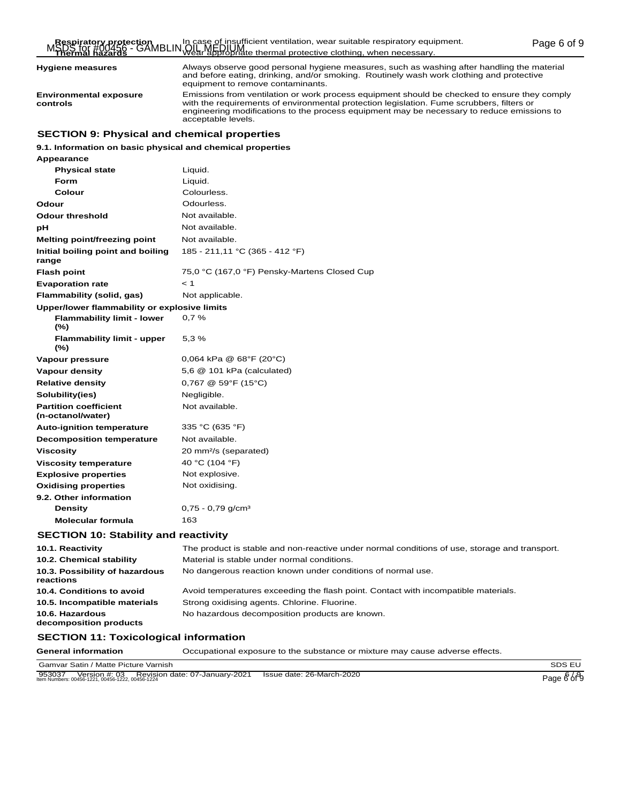**Hygiene measures**

**Environmental exposure controls**

Always observe good personal hygiene measures, such as washing after handling the material and before eating, drinking, and/or smoking. Routinely wash work clothing and protective equipment to remove contaminants.

Emissions from ventilation or work process equipment should be checked to ensure they comply with the requirements of environmental protection legislation. Fume scrubbers, filters or engineering modifications to the process equipment may be necessary to reduce emissions to acceptable levels.

# **SECTION 9: Physical and chemical properties**

### **9.1. Information on basic physical and chemical properties**

| Appearance                                        |                                                                                               |
|---------------------------------------------------|-----------------------------------------------------------------------------------------------|
| <b>Physical state</b>                             | Liquid.                                                                                       |
| <b>Form</b>                                       | Liquid.                                                                                       |
| Colour                                            | Colourless.                                                                                   |
| Odour                                             | Odourless.                                                                                    |
| <b>Odour threshold</b>                            | Not available.                                                                                |
| рH                                                | Not available.                                                                                |
| Melting point/freezing point                      | Not available.                                                                                |
| Initial boiling point and boiling<br>range        | 185 - 211,11 °C (365 - 412 °F)                                                                |
| <b>Flash point</b>                                | 75,0 °C (167,0 °F) Pensky-Martens Closed Cup                                                  |
| <b>Evaporation rate</b>                           | < 1                                                                                           |
| Flammability (solid, gas)                         | Not applicable.                                                                               |
| Upper/lower flammability or explosive limits      |                                                                                               |
| <b>Flammability limit - lower</b><br>$(\%)$       | 0,7%                                                                                          |
| <b>Flammability limit - upper</b><br>$(\%)$       | 5,3%                                                                                          |
| Vapour pressure                                   | $0,064$ kPa @ 68°F (20°C)                                                                     |
| <b>Vapour density</b>                             | 5,6 @ 101 kPa (calculated)                                                                    |
| <b>Relative density</b>                           | $0,767 \ @ \ 59^{\circ}F (15^{\circ}C)$                                                       |
| Solubility(ies)                                   | Negligible.                                                                                   |
| <b>Partition coefficient</b><br>(n-octanol/water) | Not available.                                                                                |
| <b>Auto-ignition temperature</b>                  | 335 °C (635 °F)                                                                               |
| <b>Decomposition temperature</b>                  | Not available.                                                                                |
| <b>Viscosity</b>                                  | 20 mm <sup>2</sup> /s (separated)                                                             |
| <b>Viscosity temperature</b>                      | 40 °C (104 °F)                                                                                |
| <b>Explosive properties</b>                       | Not explosive.                                                                                |
| <b>Oxidising properties</b>                       | Not oxidising.                                                                                |
| 9.2. Other information                            |                                                                                               |
| <b>Density</b>                                    | $0,75 - 0,79$ g/cm <sup>3</sup>                                                               |
| <b>Molecular formula</b>                          | 163                                                                                           |
| <b>SECTION 10: Stability and reactivity</b>       |                                                                                               |
| 10.1. Reactivity                                  | The product is stable and non-reactive under normal conditions of use, storage and transport. |
| 10.2. Chemical stability                          | Material is stable under normal conditions.                                                   |
| 10.3. Possibility of hazardous<br>reactions       | No dangerous reaction known under conditions of normal use.                                   |
| 10.4. Conditions to avoid                         | Avoid temperatures exceeding the flash point. Contact with incompatible materials.            |
| 10.5. Incompatible materials                      | Strong oxidising agents. Chlorine. Fluorine.                                                  |
| 10.6. Hazardous<br>decomposition products         | No hazardous decomposition products are known.                                                |
| <b>SECTION 11: Toxicological information</b>      |                                                                                               |

Gamvar Satin / Matte Picture Varnish SDS EU 953037 Version #: 03 Revision date: 07-January-2021 Issue date: 26-March-2020<br>Item Numbers: 00456-1221, 00456-1222, 00456-1224 Page 6 of 9

**General information** Occupational exposure to the substance or mixture may cause adverse effects.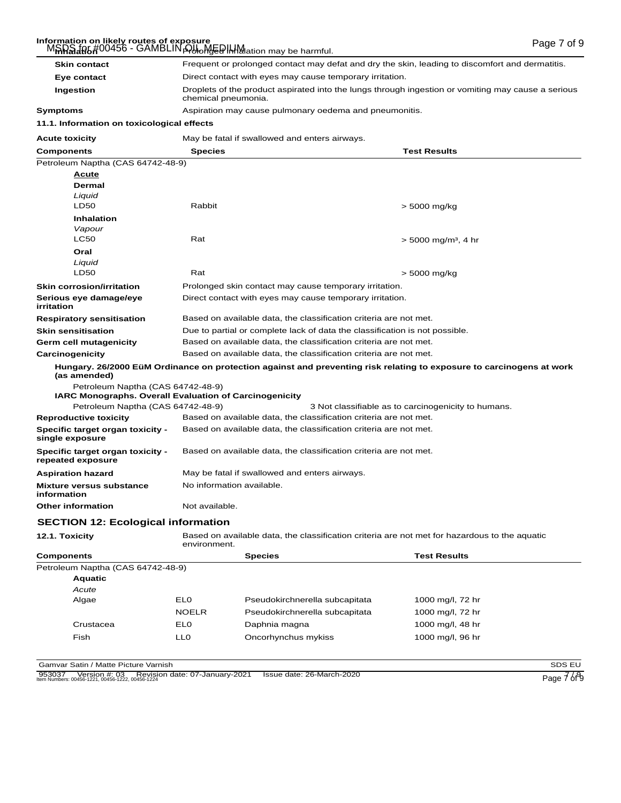# Information on likely routes of exposure<br>M<del>SDS</del> for #00456 - GAMBLIN <del>O/ll MEDINM</del>ation may be harmful.

| MAHAJAR6#00456 - GAMBLIN A/Holler HHH Mation may be harmful.                                       |                                                                                                                           |                                                                                               |                                                                                                                      |  |
|----------------------------------------------------------------------------------------------------|---------------------------------------------------------------------------------------------------------------------------|-----------------------------------------------------------------------------------------------|----------------------------------------------------------------------------------------------------------------------|--|
| <b>Skin contact</b>                                                                                | Frequent or prolonged contact may defat and dry the skin, leading to discomfort and dermatitis.                           |                                                                                               |                                                                                                                      |  |
| Eye contact                                                                                        | Direct contact with eyes may cause temporary irritation.                                                                  |                                                                                               |                                                                                                                      |  |
| Ingestion                                                                                          | Droplets of the product aspirated into the lungs through ingestion or vomiting may cause a serious<br>chemical pneumonia. |                                                                                               |                                                                                                                      |  |
| Symptoms                                                                                           | Aspiration may cause pulmonary oedema and pneumonitis.                                                                    |                                                                                               |                                                                                                                      |  |
| 11.1. Information on toxicological effects                                                         |                                                                                                                           |                                                                                               |                                                                                                                      |  |
| <b>Acute toxicity</b>                                                                              |                                                                                                                           | May be fatal if swallowed and enters airways.                                                 |                                                                                                                      |  |
| <b>Components</b>                                                                                  | <b>Species</b>                                                                                                            |                                                                                               | <b>Test Results</b>                                                                                                  |  |
| Petroleum Naptha (CAS 64742-48-9)                                                                  |                                                                                                                           |                                                                                               |                                                                                                                      |  |
| <u>Acute</u>                                                                                       |                                                                                                                           |                                                                                               |                                                                                                                      |  |
| Dermal                                                                                             |                                                                                                                           |                                                                                               |                                                                                                                      |  |
| Liquid                                                                                             |                                                                                                                           |                                                                                               |                                                                                                                      |  |
| LD50                                                                                               | Rabbit                                                                                                                    |                                                                                               | > 5000 mg/kg                                                                                                         |  |
| <b>Inhalation</b>                                                                                  |                                                                                                                           |                                                                                               |                                                                                                                      |  |
| Vapour                                                                                             |                                                                                                                           |                                                                                               |                                                                                                                      |  |
| <b>LC50</b>                                                                                        | Rat                                                                                                                       |                                                                                               | $>$ 5000 mg/m <sup>3</sup> , 4 hr                                                                                    |  |
| Oral                                                                                               |                                                                                                                           |                                                                                               |                                                                                                                      |  |
| Liquid<br>LD50                                                                                     | Rat                                                                                                                       |                                                                                               | > 5000 mg/kg                                                                                                         |  |
|                                                                                                    |                                                                                                                           |                                                                                               |                                                                                                                      |  |
| <b>Skin corrosion/irritation</b>                                                                   |                                                                                                                           | Prolonged skin contact may cause temporary irritation.                                        |                                                                                                                      |  |
| Serious eye damage/eye<br>irritation                                                               |                                                                                                                           | Direct contact with eyes may cause temporary irritation.                                      |                                                                                                                      |  |
| <b>Respiratory sensitisation</b>                                                                   |                                                                                                                           | Based on available data, the classification criteria are not met.                             |                                                                                                                      |  |
| <b>Skin sensitisation</b>                                                                          | Due to partial or complete lack of data the classification is not possible.                                               |                                                                                               |                                                                                                                      |  |
| Germ cell mutagenicity                                                                             | Based on available data, the classification criteria are not met.                                                         |                                                                                               |                                                                                                                      |  |
| Carcinogenicity                                                                                    |                                                                                                                           | Based on available data, the classification criteria are not met.                             |                                                                                                                      |  |
| (as amended)                                                                                       |                                                                                                                           |                                                                                               | Hungary. 26/2000 EüM Ordinance on protection against and preventing risk relating to exposure to carcinogens at work |  |
| Petroleum Naptha (CAS 64742-48-9)                                                                  |                                                                                                                           |                                                                                               |                                                                                                                      |  |
| <b>IARC Monographs. Overall Evaluation of Carcinogenicity</b><br>Petroleum Naptha (CAS 64742-48-9) |                                                                                                                           |                                                                                               | 3 Not classifiable as to carcinogenicity to humans.                                                                  |  |
| <b>Reproductive toxicity</b>                                                                       |                                                                                                                           | Based on available data, the classification criteria are not met.                             |                                                                                                                      |  |
| Specific target organ toxicity -                                                                   |                                                                                                                           | Based on available data, the classification criteria are not met.                             |                                                                                                                      |  |
| single exposure                                                                                    |                                                                                                                           |                                                                                               |                                                                                                                      |  |
| <b>Specific target organ toxicity -</b><br>repeated exposure                                       | Based on available data, the classification criteria are not met.                                                         |                                                                                               |                                                                                                                      |  |
| <b>Aspiration hazard</b>                                                                           |                                                                                                                           | May be fatal if swallowed and enters airways.                                                 |                                                                                                                      |  |
| <b>Mixture versus substance</b><br>information                                                     |                                                                                                                           | No information available.                                                                     |                                                                                                                      |  |
| Other information                                                                                  | Not available.                                                                                                            |                                                                                               |                                                                                                                      |  |
| <b>SECTION 12: Ecological information</b>                                                          |                                                                                                                           |                                                                                               |                                                                                                                      |  |
| 12.1. Toxicity                                                                                     | environment.                                                                                                              | Based on available data, the classification criteria are not met for hazardous to the aquatic |                                                                                                                      |  |
| Components                                                                                         |                                                                                                                           | <b>Species</b>                                                                                | <b>Test Results</b>                                                                                                  |  |
| Petroleum Naptha (CAS 64742-48-9)                                                                  |                                                                                                                           |                                                                                               |                                                                                                                      |  |
| <b>Aquatic</b>                                                                                     |                                                                                                                           |                                                                                               |                                                                                                                      |  |
| Acute                                                                                              |                                                                                                                           |                                                                                               |                                                                                                                      |  |
| Algae                                                                                              | <b>EL0</b>                                                                                                                | Pseudokirchnerella subcapitata                                                                | 1000 mg/l, 72 hr                                                                                                     |  |
|                                                                                                    | <b>NOELR</b>                                                                                                              | Pseudokirchnerella subcapitata                                                                | 1000 mg/l, 72 hr                                                                                                     |  |
| Crustacea                                                                                          | <b>EL0</b>                                                                                                                | Daphnia magna                                                                                 | 1000 mg/l, 48 hr                                                                                                     |  |

Gamvar Satin / Matte Picture Varnish<br>
953037 Version #: 03 Revision date: 07-January-2021 Issue date: 26-March-2020<br>
Nem Numbers: 00456-1221, 00456-1222, 00456-1222, 00456-1224 953037 Version #: 03 Revision date: 07-January-2021 Issue date: 26-March-2020<br>Item Numbers: 00456-1221, 00456-1222, 00456-1224

Fish LL0 Oncorhynchus mykiss 1000 mg/l, 96 hr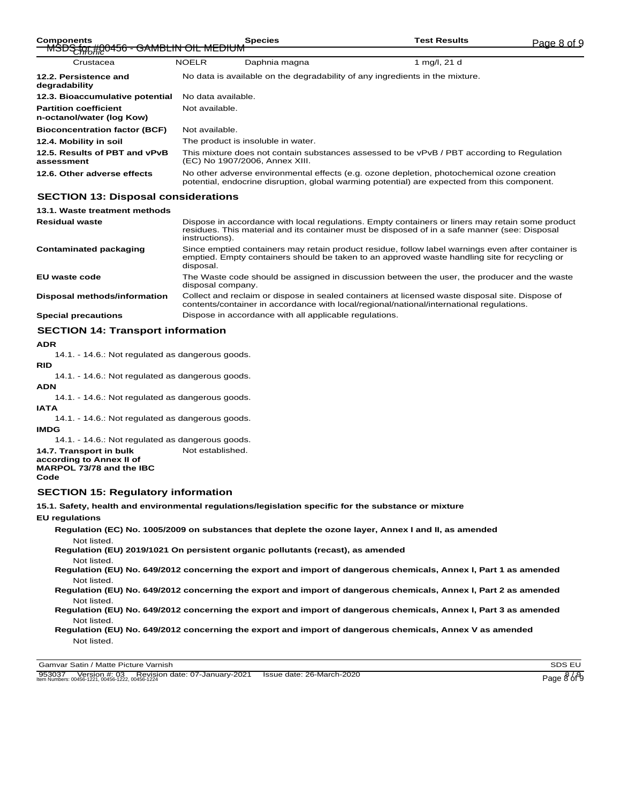| <b>Components</b>                                         |                                                                                                                                                                                            | <b>Species</b> | <b>Test Results</b> | Page 8 of 9 |
|-----------------------------------------------------------|--------------------------------------------------------------------------------------------------------------------------------------------------------------------------------------------|----------------|---------------------|-------------|
| MSDS (moto + GAMBLIN OIL MEDIUM                           |                                                                                                                                                                                            |                |                     |             |
| Crustacea                                                 | <b>NOELR</b>                                                                                                                                                                               | Daphnia magna  | 1 mg/l, 21 d        |             |
| 12.2. Persistence and<br>degradability                    | No data is available on the degradability of any ingredients in the mixture.                                                                                                               |                |                     |             |
| 12.3. Bioaccumulative potential                           | No data available.                                                                                                                                                                         |                |                     |             |
| <b>Partition coefficient</b><br>n-octanol/water (log Kow) | Not available.                                                                                                                                                                             |                |                     |             |
| <b>Bioconcentration factor (BCF)</b>                      | Not available.                                                                                                                                                                             |                |                     |             |
| 12.4. Mobility in soil                                    | The product is insoluble in water.                                                                                                                                                         |                |                     |             |
| 12.5. Results of PBT and vPvB<br>assessment               | This mixture does not contain substances assessed to be vPvB / PBT according to Regulation<br>(EC) No 1907/2006, Annex XIII.                                                               |                |                     |             |
| 12.6. Other adverse effects                               | No other adverse environmental effects (e.g. ozone depletion, photochemical ozone creation<br>potential, endocrine disruption, global warming potential) are expected from this component. |                |                     |             |

# **SECTION 13: Disposal considerations**

| 13.1. Waste treatment methods                                                                                                     |                                                                                                                                                                                                                     |
|-----------------------------------------------------------------------------------------------------------------------------------|---------------------------------------------------------------------------------------------------------------------------------------------------------------------------------------------------------------------|
| <b>Residual waste</b>                                                                                                             | Dispose in accordance with local regulations. Empty containers or liners may retain some product<br>residues. This material and its container must be disposed of in a safe manner (see: Disposal<br>instructions). |
| <b>Contaminated packaging</b>                                                                                                     | Since emptied containers may retain product residue, follow label warnings even after container is<br>emptied. Empty containers should be taken to an approved waste handling site for recycling or<br>disposal.    |
| EU waste code                                                                                                                     | The Waste code should be assigned in discussion between the user, the producer and the waste<br>disposal company.                                                                                                   |
| Disposal methods/information                                                                                                      | Collect and reclaim or dispose in sealed containers at licensed waste disposal site. Dispose of<br>contents/container in accordance with local/regional/national/international regulations.                         |
| <b>Special precautions</b>                                                                                                        | Dispose in accordance with all applicable regulations.                                                                                                                                                              |
| $\mathbf{A} \mathbf{F} \mathbf{A} \mathbf{T}$ and $\mathbf{A} \mathbf{F}$ are the set of $\mathbf{F}$ and $\mathbf{F} \mathbf{A}$ |                                                                                                                                                                                                                     |

### **SECTION 14: Transport information**

**ADR**

14.1. - 14.6.: Not regulated as dangerous goods.

**RID**

14.1. - 14.6.: Not regulated as dangerous goods.

**ADN**

14.1. - 14.6.: Not regulated as dangerous goods.

- **IATA**
	- 14.1. 14.6.: Not regulated as dangerous goods.

**IMDG**

14.1. - 14.6.: Not regulated as dangerous goods.

- **14.7. Transport in bulk** Not established.
- **according to Annex II of MARPOL 73/78 and the IBC**

**Code**

### **SECTION 15: Regulatory information**

**15.1. Safety, health and environmental regulations/legislation specific for the substance or mixture**

**EU regulations**

**Regulation (EC) No. 1005/2009 on substances that deplete the ozone layer, Annex I and II, as amended** Not listed.

**Regulation (EU) 2019/1021 On persistent organic pollutants (recast), as amended** Not listed.

**Regulation (EU) No. 649/2012 concerning the export and import of dangerous chemicals, Annex I, Part 1 as amended** Not listed.

**Regulation (EU) No. 649/2012 concerning the export and import of dangerous chemicals, Annex I, Part 2 as amended** Not listed.

**Regulation (EU) No. 649/2012 concerning the export and import of dangerous chemicals, Annex I, Part 3 as amended** Not listed.

**Regulation (EU) No. 649/2012 concerning the export and import of dangerous chemicals, Annex V as amended** Not listed.

Gamvar Satin / Matte Picture Varnish SDS EU